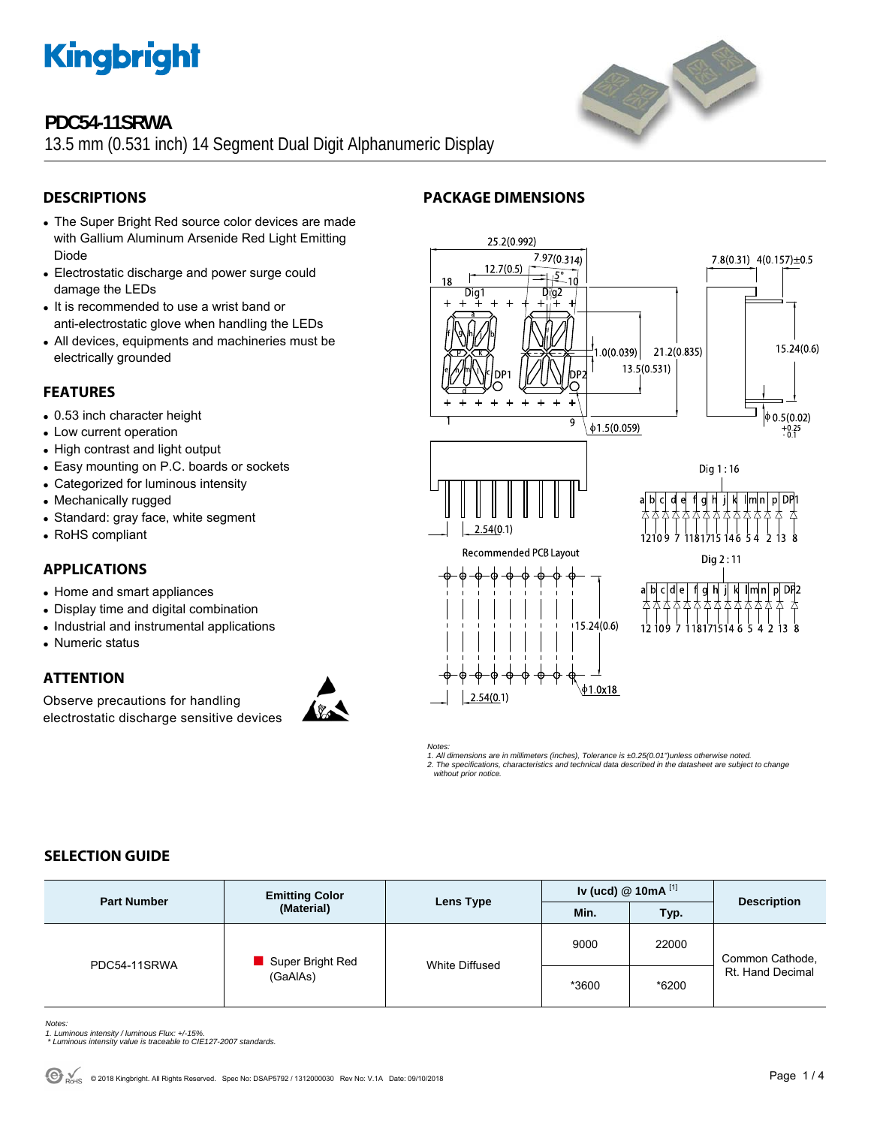

# **PDC54-11SRWA**

13.5 mm (0.531 inch) 14 Segment Dual Digit Alphanumeric Display



- The Super Bright Red source color devices are made with Gallium Aluminum Arsenide Red Light Emitting Diode
- Electrostatic discharge and power surge could damage the LEDs
- It is recommended to use a wrist band or anti-electrostatic glove when handling the LEDs
- All devices, equipments and machineries must be electrically grounded

### **FEATURES**

- 0.53 inch character height
- Low current operation
- High contrast and light output
- Easy mounting on P.C. boards or sockets
- Categorized for luminous intensity
- Mechanically rugged
- Standard: gray face, white segment
- RoHS compliant

# **APPLICATIONS**

- Home and smart appliances
- Display time and digital combination
- Industrial and instrumental applications
- Numeric status

# **ATTENTION**

Observe precautions for handling electrostatic discharge sensitive devices



# **PACKAGE DIMENSIONS**



*Notes: 1. All dimensions are in millimeters (inches), Tolerance is ±0.25(0.01")unless otherwise noted. 2. The specifications, characteristics and technical data described in the datasheet are subject to change without prior notice.* 

# **SELECTION GUIDE**

| <b>Part Number</b> | <b>Emitting Color</b><br>(Material) | Lens Type      | Iv (ucd) $@$ 10mA $^{[1]}$ |       | <b>Description</b>                  |
|--------------------|-------------------------------------|----------------|----------------------------|-------|-------------------------------------|
|                    |                                     |                | Min.                       | Typ.  |                                     |
| PDC54-11SRWA       | Super Bright Red<br>(GaAlAs)        | White Diffused | 9000                       | 22000 | Common Cathode,<br>Rt. Hand Decimal |
|                    |                                     |                | *3600                      | *6200 |                                     |

*Notes:* 

- *1. Luminous intensity / luminous Flux: +/-15%. \* Luminous intensity value is traceable to CIE127-2007 standards.*
- 

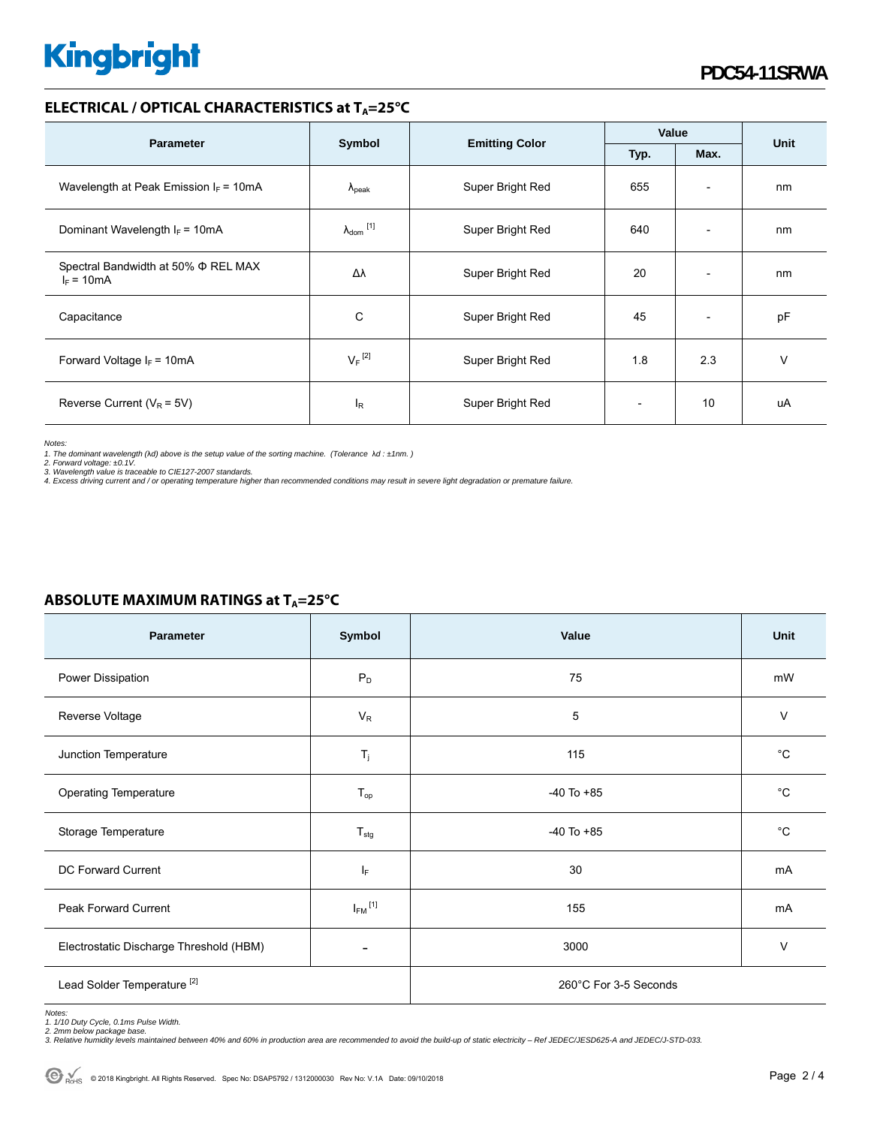# **Kingbright**

### **ELECTRICAL / OPTICAL CHARACTERISTICS at T<sub>A</sub>=25°C**

| <b>Parameter</b>                                    |                            |                       | Value          |                          | <b>Unit</b> |
|-----------------------------------------------------|----------------------------|-----------------------|----------------|--------------------------|-------------|
|                                                     | Symbol                     | <b>Emitting Color</b> | Typ.<br>Max.   |                          |             |
| Wavelength at Peak Emission $I_F = 10mA$            | $\Lambda_{\rm peak}$       | Super Bright Red      | 655            | $\overline{\phantom{a}}$ | nm          |
| Dominant Wavelength $I_F = 10mA$                    | $\lambda_{\text{dom}}$ [1] | Super Bright Red      | 640            | $\overline{\phantom{a}}$ | nm          |
| Spectral Bandwidth at 50% Φ REL MAX<br>$I_F = 10mA$ | Δλ                         | Super Bright Red      | 20             | $\overline{\phantom{a}}$ | nm          |
| Capacitance                                         | С                          | Super Bright Red      | 45             | $\overline{\phantom{a}}$ | pF          |
| Forward Voltage $I_F = 10 \text{mA}$                | $V_F$ <sup>[2]</sup>       | Super Bright Red      | 1.8            | 2.3                      | v           |
| Reverse Current ( $V_R$ = 5V)                       | ΙŖ                         | Super Bright Red      | $\overline{a}$ | 10                       | uA          |

*Notes:* 

1. The dominant wavelength (λd) above is the setup value of the sorting machine. (Tolerance λd : ±1nm. )<br>2. Forward voltage: ±0.1V.<br>3. Wavelength value is traceable to CIE127-2007 standards.<br>4. Excess driving current and

| <b>Parameter</b>                        | Symbol                  | Value                 | Unit         |  |
|-----------------------------------------|-------------------------|-----------------------|--------------|--|
| Power Dissipation                       | $P_D$                   | 75                    | mW           |  |
| Reverse Voltage                         | $V_R$                   | 5                     | $\vee$       |  |
| Junction Temperature                    | $\mathsf{T}_j$          | 115                   | $^{\circ}C$  |  |
| Operating Temperature                   | $T_{op}$                | $-40$ To $+85$        | $^{\circ}C$  |  |
| Storage Temperature                     | $T_{\text{stg}}$        | $-40$ To $+85$        | $^{\circ}$ C |  |
| DC Forward Current                      | ΙF                      | 30                    | mA           |  |
| Peak Forward Current                    | $I_{FM}$ <sup>[1]</sup> | 155                   | mA           |  |
| Electrostatic Discharge Threshold (HBM) |                         | 3000                  | $\vee$       |  |
| Lead Solder Temperature <sup>[2]</sup>  |                         | 260°C For 3-5 Seconds |              |  |

# **ABSOLUTE MAXIMUM RATINGS at T<sub>A</sub>=25°C**

Notes:<br>1. 1/10 Duty Cycle, 0.1ms Pulse Width.<br>2. 2mm below package base.<br>3. Relative humidity levels maintained between 40% and 60% in production area are recommended to avoid the build-up of static electricity – Ref JEDEC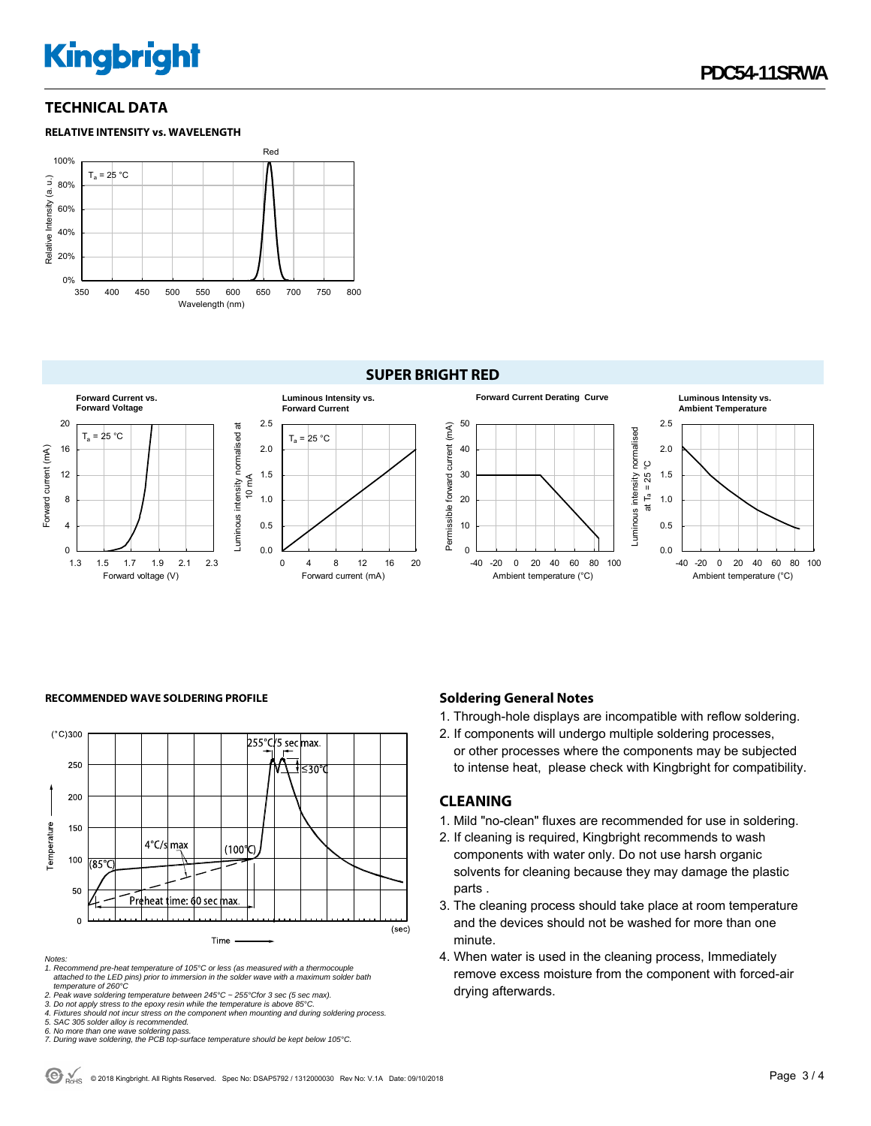# **Kingbright**

### **TECHNICAL DATA**





#### **SUPER BRIGHT RED**



#### RECOMMENDED WAVE SOLDERING PROFILE **Soldering General Notes Soldering General Notes**



*Notes:* 

*1. Recommend pre-heat temperature of 105°C or less (as measured with a thermocouple attached to the LED pins) prior to immersion in the solder wave with a maximum solder bath temperature of 260°C* 

*2. Peak wave soldering temperature between 245°C ~ 255°Cfor 3 sec (5 sec max).* 

*3. Do not apply stress to the epoxy resin while the temperature is above 85°C.* 

*4. Fixtures should not incur stress on the component when mounting and during soldering process. 5. SAC 305 solder alloy is recommended.* 

*6. No more than one wave soldering pass. 7. During wave soldering, the PCB top-surface temperature should be kept below 105°C.*

1. Through-hole displays are incompatible with reflow soldering.

2. If components will undergo multiple soldering processes, or other processes where the components may be subjected to intense heat, please check with Kingbright for compatibility.

# **CLEANING**

# 1. Mild "no-clean" fluxes are recommended for use in soldering.

- 2. If cleaning is required, Kingbright recommends to wash components with water only. Do not use harsh organic solvents for cleaning because they may damage the plastic parts .
- 3. The cleaning process should take place at room temperature and the devices should not be washed for more than one minute.
- 4. When water is used in the cleaning process, Immediately remove excess moisture from the component with forced-air drying afterwards.